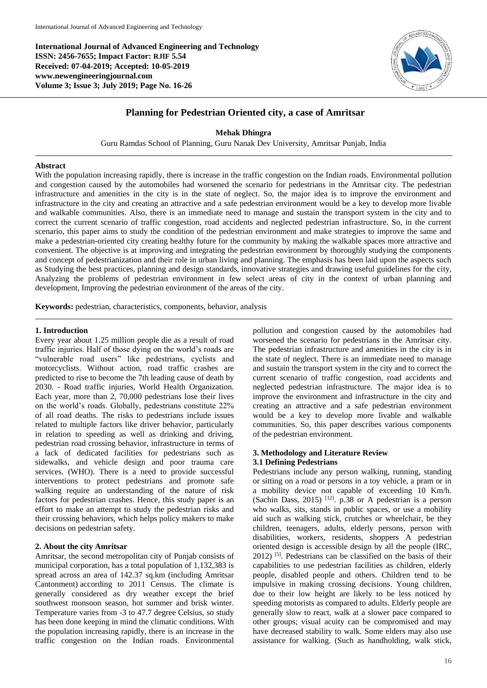**International Journal of Advanced Engineering and Technology ISSN: 2456-7655; Impact Factor: RJIF 5.54 Received: 07-04-2019; Accepted: 10-05-2019 www.newengineeringjournal.com Volume 3; Issue 3; July 2019; Page No. 16-26**



# **Planning for Pedestrian Oriented city, a case of Amritsar**

**Mehak Dhingra**

Guru Ramdas School of Planning, Guru Nanak Dev University, Amritsar Punjab, India

# **Abstract**

With the population increasing rapidly, there is increase in the traffic congestion on the Indian roads. Environmental pollution and congestion caused by the automobiles had worsened the scenario for pedestrians in the Amritsar city. The pedestrian infrastructure and amenities in the city is in the state of neglect. So, the major idea is to improve the environment and infrastructure in the city and creating an attractive and a safe pedestrian environment would be a key to develop more livable and walkable communities. Also, there is an immediate need to manage and sustain the transport system in the city and to correct the current scenario of traffic congestion, road accidents and neglected pedestrian infrastructure. So, in the current scenario, this paper aims to study the condition of the pedestrian environment and make strategies to improve the same and make a pedestrian-oriented city creating healthy future for the community by making the walkable spaces more attractive and convenient. The objective is at improving and integrating the pedestrian environment by thoroughly studying the components and concept of pedestrianization and their role in urban living and planning. The emphasis has been laid upon the aspects such as Studying the best practices, planning and design standards, innovative strategies and drawing useful guidelines for the city, Analyzing the problems of pedestrian environment in few select areas of city in the context of urban planning and development, Improving the pedestrian environment of the areas of the city.

**Keywords:** pedestrian, characteristics, components, behavior, analysis

#### **1. Introduction**

Every year about 1.25 million people die as a result of road traffic injuries. Half of those dying on the world's roads are "vulnerable road users" like pedestrians, cyclists and motorcyclists. Without action, road traffic crashes are predicted to rise to become the 7th leading cause of death by 2030. - Road traffic injuries, World Health Organization. Each year, more than 2, 70,000 pedestrians lose their lives on the world's roads. Globally, pedestrians constitute 22% of all road deaths. The risks to pedestrians include issues related to multiple factors like driver behavior, particularly in relation to speeding as well as drinking and driving, pedestrian road crossing behavior, infrastructure in terms of a lack of dedicated facilities for pedestrians such as sidewalks, and vehicle design and poor trauma care services. (WHO). There is a need to provide successful interventions to protect pedestrians and promote safe walking require an understanding of the nature of risk factors for pedestrian crashes. Hence, this study paper is an effort to make an attempt to study the pedestrian risks and their crossing behaviors, which helps policy makers to make decisions on pedestrian safety.

# **2. About the city Amritsar**

Amritsar, the second metropolitan city of Punjab consists of municipal corporation, has a total population of 1,132,383 is spread across an area of 142.37 sq.km (including Amritsar Cantonment) according to 2011 Census. The climate is generally considered as dry weather except the brief southwest monsoon season, hot summer and brisk winter. Temperature varies from -3 to 47.7 degree Celsius, so study has been done keeping in mind the climatic conditions. With the population increasing rapidly, there is an increase in the traffic congestion on the Indian roads. Environmental

pollution and congestion caused by the automobiles had worsened the scenario for pedestrians in the Amritsar city. The pedestrian infrastructure and amenities in the city is in the state of neglect. There is an immediate need to manage and sustain the transport system in the city and to correct the current scenario of traffic congestion, road accidents and neglected pedestrian infrastructure. The major idea is to improve the environment and infrastructure in the city and creating an attractive and a safe pedestrian environment would be a key to develop more livable and walkable communities. So, this paper describes various components of the pedestrian environment.

# **3. Methodology and Literature Review 3.1 Defining Pedestrians**

Pedestrians include any person walking, running, standing or sitting on a road or persons in a toy vehicle, a pram or in a mobility device not capable of exceeding 10 Km/h. (Sachin Dass, 2015)<sup>[12]</sup>. p.38 or A pedestrian is a person who walks, sits, stands in public spaces, or use a mobility aid such as walking stick, crutches or wheelchair, be they children, teenagers, adults, elderly persons, person with disabilities, workers, residents, shoppers A pedestrian oriented design is accessible design by all the people (IRC,  $2012$ ) <sup>[5]</sup>. Pedestrians can be classified on the basis of their capabilities to use pedestrian facilities as children, elderly people, disabled people and others. Children tend to be impulsive in making crossing decisions. Young children, due to their low height are likely to be less noticed by speeding motorists as compared to adults. Elderly people are generally slow to react, walk at a slower pace compared to other groups; visual acuity can be compromised and may have decreased stability to walk. Some elders may also use assistance for walking. (Such as handholding, walk stick,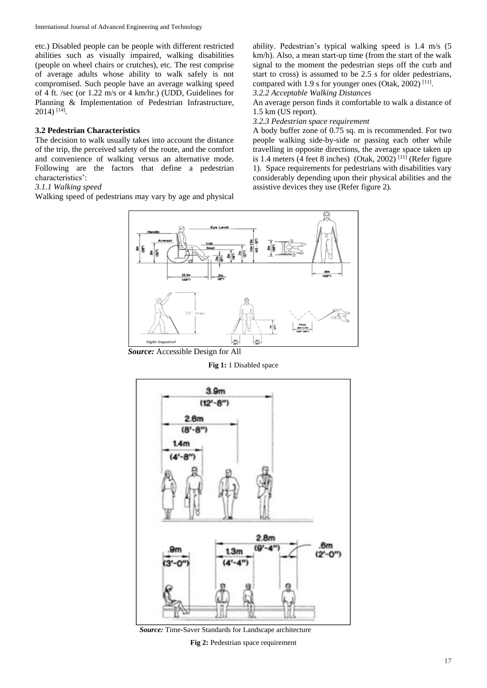etc.) Disabled people can be people with different restricted abilities such as visually impaired, walking disabilities (people on wheel chairs or crutches), etc. The rest comprise of average adults whose ability to walk safely is not compromised. Such people have an average walking speed of 4 ft. /sec (or 1.22 m/s or 4 km/hr.) (UDD, Guidelines for Planning & Implementation of Pedestrian Infrastructure, 2014) [14] .

# **3.2 Pedestrian Characteristics**

The decision to walk usually takes into account the distance of the trip, the perceived safety of the route, and the comfort and convenience of walking versus an alternative mode. Following are the factors that define a pedestrian characteristics':

# *3.1.1 Walking speed*

Walking speed of pedestrians may vary by age and physical

ability. Pedestrian's typical walking speed is 1.4 m/s (5 km/h). Also, a mean start-up time (from the start of the walk signal to the moment the pedestrian steps off the curb and start to cross) is assumed to be 2.5 s for older pedestrians, compared with 1.9 s for younger ones (Otak, 2002)<sup>[11]</sup>.

*3.2.2 Acceptable Walking Distances*

An average person finds it comfortable to walk a distance of 1.5 km (US report).

*3.2.3 Pedestrian space requirement* 

A body buffer zone of 0.75 sq. m is recommended. For two people walking side-by-side or passing each other while travelling in opposite directions, the average space taken up is 1.4 meters (4 feet 8 inches) (Otak, 2002)<sup>[11]</sup> (Refer figure 1). Space requirements for pedestrians with disabilities vary considerably depending upon their physical abilities and the assistive devices they use (Refer figure 2).



*Source:* Accessible Design for All

# **Fig 1:** 1 Disabled space



*Source:* Time-Saver Standards for Landscape architecture

**Fig 2:** Pedestrian space requirement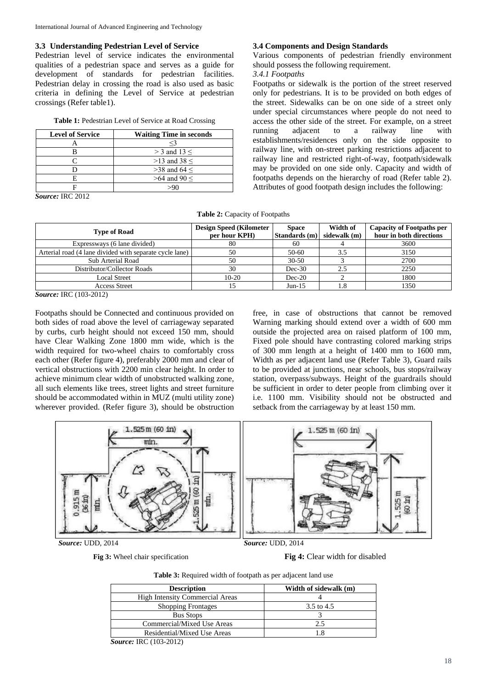# **3.3 Understanding Pedestrian Level of Service**

Pedestrian level of service indicates the environmental qualities of a pedestrian space and serves as a guide for development of standards for pedestrian facilities. Pedestrian delay in crossing the road is also used as basic criteria in defining the Level of Service at pedestrian crossings (Refer table1).

|  |  | Table 1: Pedestrian Level of Service at Road Crossing |  |  |  |  |  |  |
|--|--|-------------------------------------------------------|--|--|--|--|--|--|
|--|--|-------------------------------------------------------|--|--|--|--|--|--|

| <b>Level of Service</b> | <b>Waiting Time in seconds</b> |  |  |  |
|-------------------------|--------------------------------|--|--|--|
|                         | <3                             |  |  |  |
|                         | $>$ 3 and 13 $<$               |  |  |  |
|                         | $>13$ and 38 <                 |  |  |  |
|                         | $>38$ and 64 $<$               |  |  |  |
|                         | $>64$ and 90 $<$               |  |  |  |
|                         |                                |  |  |  |

*Source:* IRC 2012

# **3.4 Components and Design Standards**

Various components of pedestrian friendly environment should possess the following requirement.

# *3.4.1 Footpaths*

Footpaths or sidewalk is the portion of the street reserved only for pedestrians. It is to be provided on both edges of the street. Sidewalks can be on one side of a street only under special circumstances where people do not need to access the other side of the street. For example, on a street running adjacent to a railway line with establishments/residences only on the side opposite to railway line, with on-street parking restrictions adjacent to railway line and restricted right-of-way, footpath/sidewalk may be provided on one side only. Capacity and width of footpaths depends on the hierarchy of road (Refer table 2). Attributes of good footpath design includes the following:

|  |  | Table 2: Capacity of Footpaths |
|--|--|--------------------------------|
|--|--|--------------------------------|

| <b>Type of Road</b>                                     | <b>Design Speed (Kilometer)</b><br>per hour KPH) | <b>Space</b><br>Standards (m) | Width of<br>sidewalk (m) | <b>Capacity of Footpaths per</b><br>hour in both directions |
|---------------------------------------------------------|--------------------------------------------------|-------------------------------|--------------------------|-------------------------------------------------------------|
| Expressways (6 lane divided)                            | 80                                               | 60                            |                          | 3600                                                        |
| Arterial road (4 lane divided with separate cycle lane) | 50                                               | $50-60$                       |                          | 3150                                                        |
| Sub Arterial Road                                       | 50                                               | $30 - 50$                     |                          | 2700                                                        |
| Distributor/Collector Roads                             | 30                                               | $Dec-30$                      | 2.5                      | 2250                                                        |
| Local Street                                            | $10-20$                                          | $Dec-20$                      |                          | 1800                                                        |
| <b>Access Street</b>                                    |                                                  | $Jun-15$                      | 1.8                      | 1350                                                        |

*Source:* IRC (103-2012)

Footpaths should be Connected and continuous provided on both sides of road above the level of carriageway separated by curbs, curb height should not exceed 150 mm, should have Clear Walking Zone 1800 mm wide, which is the width required for two-wheel chairs to comfortably cross each other (Refer figure 4), preferably 2000 mm and clear of vertical obstructions with 2200 min clear height. In order to achieve minimum clear width of unobstructed walking zone, all such elements like trees, street lights and street furniture should be accommodated within in MUZ (multi utility zone) wherever provided. (Refer figure 3), should be obstruction

free, in case of obstructions that cannot be removed Warning marking should extend over a width of 600 mm outside the projected area on raised platform of 100 mm, Fixed pole should have contrasting colored marking strips of 300 mm length at a height of 1400 mm to 1600 mm, Width as per adjacent land use (Refer Table 3), Guard rails to be provided at junctions, near schools, bus stops/railway station, overpass/subways. Height of the guardrails should be sufficient in order to deter people from climbing over it i.e. 1100 mm. Visibility should not be obstructed and setback from the carriageway by at least 150 mm.



# **Fig 3:** Wheel chair specification **Fig 4:** Clear width for disabled

| Table 3: Required width of footpath as per adjacent land use |  |  |  |  |
|--------------------------------------------------------------|--|--|--|--|
|--------------------------------------------------------------|--|--|--|--|

| <b>Description</b>                     | Width of sidewalk (m) |  |  |  |
|----------------------------------------|-----------------------|--|--|--|
| <b>High Intensity Commercial Areas</b> |                       |  |  |  |
| <b>Shopping Frontages</b>              | 3.5 to 4.5            |  |  |  |
| <b>Bus Stops</b>                       |                       |  |  |  |
| Commercial/Mixed Use Areas             | 2.5                   |  |  |  |
| Residential/Mixed Use Areas            | 1.8                   |  |  |  |

*Source:* IRC (103-2012)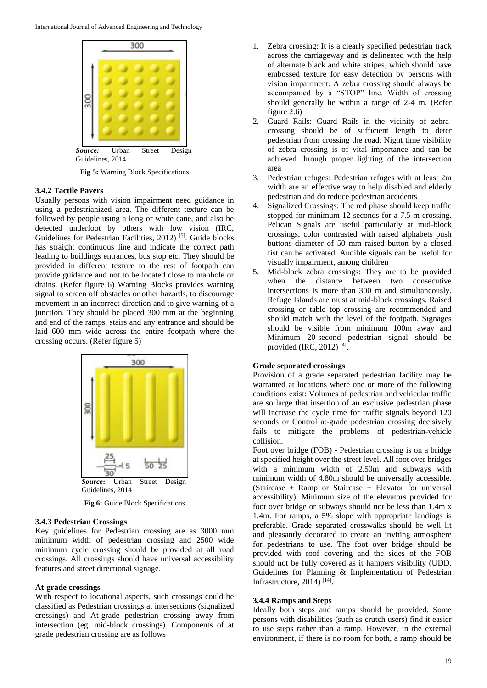

**Fig 5:** Warning Block Specifications

#### **3.4.2 Tactile Pavers**

Usually persons with vision impairment need guidance in using a pedestrianized area. The different texture can be followed by people using a long or white cane, and also be detected underfoot by others with low vision (IRC, Guidelines for Pedestrian Facilities, 2012)<sup>[5]</sup>. Guide blocks has straight continuous line and indicate the correct path leading to buildings entrances, bus stop etc. They should be provided in different texture to the rest of footpath can provide guidance and not to be located close to manhole or drains. (Refer figure 6) Warning Blocks provides warning signal to screen off obstacles or other hazards, to discourage movement in an incorrect direction and to give warning of a junction. They should be placed 300 mm at the beginning and end of the ramps, stairs and any entrance and should be laid 600 mm wide across the entire footpath where the crossing occurs. (Refer figure 5)



**Fig 6:** Guide Block Specifications

# **3.4.3 Pedestrian Crossings**

Key guidelines for Pedestrian crossing are as 3000 mm minimum width of pedestrian crossing and 2500 wide minimum cycle crossing should be provided at all road crossings. All crossings should have universal accessibility features and street directional signage.

## **At-grade crossings**

With respect to locational aspects, such crossings could be classified as Pedestrian crossings at intersections (signalized crossings) and At-grade pedestrian crossing away from intersection (eg. mid-block crossings). Components of at grade pedestrian crossing are as follows

- 1. Zebra crossing: It is a clearly specified pedestrian track across the carriageway and is delineated with the help of alternate black and white stripes, which should have embossed texture for easy detection by persons with vision impairment. A zebra crossing should always be accompanied by a "STOP" line. Width of crossing should generally lie within a range of 2-4 m. (Refer figure 2.6)
- 2. Guard Rails: Guard Rails in the vicinity of zebracrossing should be of sufficient length to deter pedestrian from crossing the road. Night time visibility of zebra crossing is of vital importance and can be achieved through proper lighting of the intersection area
- 3. Pedestrian refuges: Pedestrian refuges with at least 2m width are an effective way to help disabled and elderly pedestrian and do reduce pedestrian accidents
- 4. Signalized Crossings: The red phase should keep traffic stopped for minimum 12 seconds for a 7.5 m crossing. Pelican Signals are useful particularly at mid-block crossings, color contrasted with raised alphabets push buttons diameter of 50 mm raised button by a closed fist can be activated. Audible signals can be useful for visually impairment, among children
- 5. Mid-block zebra crossings: They are to be provided when the distance between two consecutive intersections is more than 300 m and simultaneously. Refuge Islands are must at mid-block crossings. Raised crossing or table top crossing are recommended and should match with the level of the footpath. Signages should be visible from minimum 100m away and Minimum 20-second pedestrian signal should be provided (IRC, 2012)<sup>[4]</sup>.

#### **Grade separated crossings**

Provision of a grade separated pedestrian facility may be warranted at locations where one or more of the following conditions exist: Volumes of pedestrian and vehicular traffic are so large that insertion of an exclusive pedestrian phase will increase the cycle time for traffic signals beyond 120 seconds or Control at-grade pedestrian crossing decisively fails to mitigate the problems of pedestrian-vehicle collision.

Foot over bridge (FOB) - Pedestrian crossing is on a bridge at specified height over the street level. All foot over bridges with a minimum width of 2.50m and subways with minimum width of 4.80m should be universally accessible. (Staircase + Ramp or Staircase + Elevator for universal accessibility). Minimum size of the elevators provided for foot over bridge or subways should not be less than 1.4m x 1.4m. For ramps, a 5% slope with appropriate landings is preferable. Grade separated crosswalks should be well lit and pleasantly decorated to create an inviting atmosphere for pedestrians to use. The foot over bridge should be provided with roof covering and the sides of the FOB should not be fully covered as it hampers visibility (UDD, Guidelines for Planning & Implementation of Pedestrian Infrastructure, 2014) [14] .

## **3.4.4 Ramps and Steps**

Ideally both steps and ramps should be provided. Some persons with disabilities (such as crutch users) find it easier to use steps rather than a ramp. However, in the external environment, if there is no room for both, a ramp should be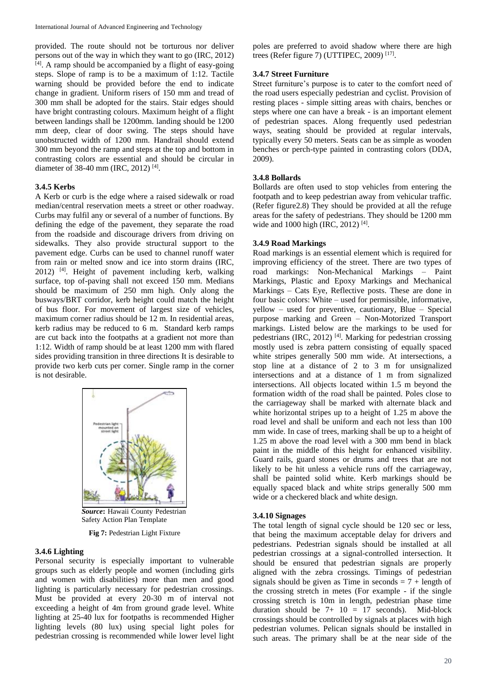provided. The route should not be torturous nor deliver persons out of the way in which they want to go (IRC, 2012) [4]. A ramp should be accompanied by a flight of easy-going steps. Slope of ramp is to be a maximum of 1:12. Tactile warning should be provided before the end to indicate change in gradient. Uniform risers of 150 mm and tread of 300 mm shall be adopted for the stairs. Stair edges should have bright contrasting colours. Maximum height of a flight between landings shall be 1200mm. landing should be 1200 mm deep, clear of door swing. The steps should have unobstructed width of 1200 mm. Handrail should extend 300 mm beyond the ramp and steps at the top and bottom in contrasting colors are essential and should be circular in diameter of 38-40 mm (IRC, 2012)<sup>[4]</sup>.

# **3.4.5 Kerbs**

A Kerb or curb is the edge where a raised sidewalk or road median/central reservation meets a street or other roadway. Curbs may fulfil any or several of a number of functions. By defining the edge of the pavement, they separate the road from the roadside and discourage drivers from driving on sidewalks. They also provide structural support to the pavement edge. Curbs can be used to channel runoff water from rain or melted snow and ice into storm drains (IRC, 2012) [4]. Height of pavement including kerb, walking surface, top of-paving shall not exceed 150 mm. Medians should be maximum of 250 mm high. Only along the busways/BRT corridor, kerb height could match the height of bus floor. For movement of largest size of vehicles, maximum corner radius should be 12 m. In residential areas, kerb radius may be reduced to 6 m. Standard kerb ramps are cut back into the footpaths at a gradient not more than 1:12. Width of ramp should be at least 1200 mm with flared sides providing transition in three directions It is desirable to provide two kerb cuts per corner. Single ramp in the corner is not desirable.



*Source***:** Hawaii County Pedestrian Safety Action Plan Template

**Fig 7:** Pedestrian Light Fixture

## **3.4.6 Lighting**

Personal security is especially important to vulnerable groups such as elderly people and women (including girls and women with disabilities) more than men and good lighting is particularly necessary for pedestrian crossings. Must be provided at every 20-30 m of interval not exceeding a height of 4m from ground grade level. White lighting at 25-40 lux for footpaths is recommended Higher lighting levels (80 lux) using special light poles for pedestrian crossing is recommended while lower level light poles are preferred to avoid shadow where there are high trees (Refer figure 7) (UTTIPEC, 2009) [17] .

#### **3.4.7 Street Furniture**

Street furniture's purpose is to cater to the comfort need of the road users especially pedestrian and cyclist. Provision of resting places - simple sitting areas with chairs, benches or steps where one can have a break - is an important element of pedestrian spaces. Along frequently used pedestrian ways, seating should be provided at regular intervals, typically every 50 meters. Seats can be as simple as wooden benches or perch-type painted in contrasting colors (DDA, 2009).

# **3.4.8 Bollards**

Bollards are often used to stop vehicles from entering the footpath and to keep pedestrian away from vehicular traffic. (Refer figure2.8) They should be provided at all the refuge areas for the safety of pedestrians. They should be 1200 mm wide and 1000 high (IRC, 2012)<sup>[4]</sup>.

#### **3.4.9 Road Markings**

Road markings is an essential element which is required for improving efficiency of the street. There are two types of road markings: Non-Mechanical Markings – Paint Markings, Plastic and Epoxy Markings and Mechanical Markings – Cats Eye, Reflective posts. These are done in four basic colors: White – used for permissible, informative, yellow – used for preventive, cautionary, Blue – Special purpose marking and Green – Non-Motorized Transport markings. Listed below are the markings to be used for pedestrians (IRC, 2012) [4]. Marking for pedestrian crossing mostly used is zebra pattern consisting of equally spaced white stripes generally 500 mm wide. At intersections, a stop line at a distance of 2 to 3 m for unsignalized intersections and at a distance of 1 m from signalized intersections. All objects located within 1.5 m beyond the formation width of the road shall be painted. Poles close to the carriageway shall be marked with alternate black and white horizontal stripes up to a height of 1.25 m above the road level and shall be uniform and each not less than 100 mm wide. In case of trees, marking shall be up to a height of 1.25 m above the road level with a 300 mm bend in black paint in the middle of this height for enhanced visibility. Guard rails, guard stones or drums and trees that are not likely to be hit unless a vehicle runs off the carriageway, shall be painted solid white. Kerb markings should be equally spaced black and white strips generally 500 mm wide or a checkered black and white design.

# **3.4.10 Signages**

The total length of signal cycle should be 120 sec or less, that being the maximum acceptable delay for drivers and pedestrians. Pedestrian signals should be installed at all pedestrian crossings at a signal-controlled intersection. It should be ensured that pedestrian signals are properly aligned with the zebra crossings. Timings of pedestrian signals should be given as Time in seconds =  $7 +$  length of the crossing stretch in metes (For example - if the single crossing stretch is 10m in length, pedestrian phase time duration should be  $7+10 = 17$  seconds). Mid-block crossings should be controlled by signals at places with high pedestrian volumes. Pelican signals should be installed in such areas. The primary shall be at the near side of the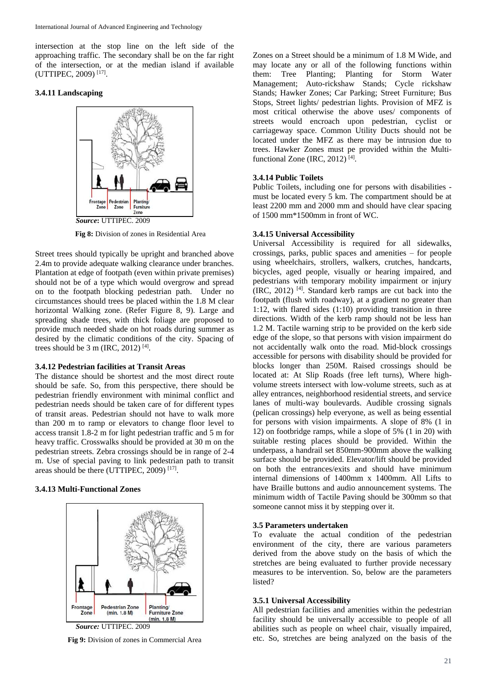intersection at the stop line on the left side of the approaching traffic. The secondary shall be on the far right of the intersection, or at the median island if available (UTTIPEC, 2009) [17] .

### **3.4.11 Landscaping**



**Fig 8:** Division of zones in Residential Area

Street trees should typically be upright and branched above 2.4m to provide adequate walking clearance under branches. Plantation at edge of footpath (even within private premises) should not be of a type which would overgrow and spread on to the footpath blocking pedestrian path. Under no circumstances should trees be placed within the 1.8 M clear horizontal Walking zone. (Refer Figure 8, 9). Large and spreading shade trees, with thick foliage are proposed to provide much needed shade on hot roads during summer as desired by the climatic conditions of the city. Spacing of trees should be  $3 \text{ m (IRC, 2012)}$  [4].

#### **3.4.12 Pedestrian facilities at Transit Areas**

The distance should be shortest and the most direct route should be safe. So, from this perspective, there should be pedestrian friendly environment with minimal conflict and pedestrian needs should be taken care of for different types of transit areas. Pedestrian should not have to walk more than 200 m to ramp or elevators to change floor level to access transit 1.8-2 m for light pedestrian traffic and 5 m for heavy traffic. Crosswalks should be provided at 30 m on the pedestrian streets. Zebra crossings should be in range of 2-4 m. Use of special paving to link pedestrian path to transit areas should be there (UTTIPEC, 2009)<sup>[17]</sup>.

# **3.4.13 Multi-Functional Zones**



*Source:* UTTIPEC. 2009

**Fig 9:** Division of zones in Commercial Area

Zones on a Street should be a minimum of 1.8 M Wide, and may locate any or all of the following functions within them: Tree Planting; Planting for Storm Water Management; Auto-rickshaw Stands; Cycle rickshaw Stands; Hawker Zones; Car Parking; Street Furniture; Bus Stops, Street lights/ pedestrian lights. Provision of MFZ is most critical otherwise the above uses/ components of streets would encroach upon pedestrian, cyclist or carriageway space. Common Utility Ducts should not be located under the MFZ as there may be intrusion due to trees. Hawker Zones must pe provided within the Multifunctional Zone (IRC, 2012)<sup>[4]</sup>.

# **3.4.14 Public Toilets**

Public Toilets, including one for persons with disabilities must be located every 5 km. The compartment should be at least 2200 mm and 2000 mm and should have clear spacing of 1500 mm\*1500mm in front of WC.

## **3.4.15 Universal Accessibility**

Universal Accessibility is required for all sidewalks, crossings, parks, public spaces and amenities – for people using wheelchairs, strollers, walkers, crutches, handcarts, bicycles, aged people, visually or hearing impaired, and pedestrians with temporary mobility impairment or injury (IRC, 2012) [4]. Standard kerb ramps are cut back into the footpath (flush with roadway), at a gradient no greater than 1:12, with flared sides (1:10) providing transition in three directions. Width of the kerb ramp should not be less han 1.2 M. Tactile warning strip to be provided on the kerb side edge of the slope, so that persons with vision impairment do not accidentally walk onto the road. Mid-block crossings accessible for persons with disability should be provided for blocks longer than 250M. Raised crossings should be located at: At Slip Roads (free left turns), Where highvolume streets intersect with low-volume streets, such as at alley entrances, neighborhood residential streets, and service lanes of multi-way boulevards. Audible crossing signals (pelican crossings) help everyone, as well as being essential for persons with vision impairments. A slope of 8% (1 in 12) on footbridge ramps, while a slope of 5% (1 in 20) with suitable resting places should be provided. Within the underpass, a handrail set 850mm-900mm above the walking surface should be provided. Elevator/lift should be provided on both the entrances/exits and should have minimum internal dimensions of 1400mm x 1400mm. All Lifts to have Braille buttons and audio announcement systems. The minimum width of Tactile Paving should be 300mm so that someone cannot miss it by stepping over it.

## **3.5 Parameters undertaken**

To evaluate the actual condition of the pedestrian environment of the city, there are various parameters derived from the above study on the basis of which the stretches are being evaluated to further provide necessary measures to be intervention. So, below are the parameters listed?

#### **3.5.1 Universal Accessibility**

All pedestrian facilities and amenities within the pedestrian facility should be universally accessible to people of all abilities such as people on wheel chair, visually impaired, etc. So, stretches are being analyzed on the basis of the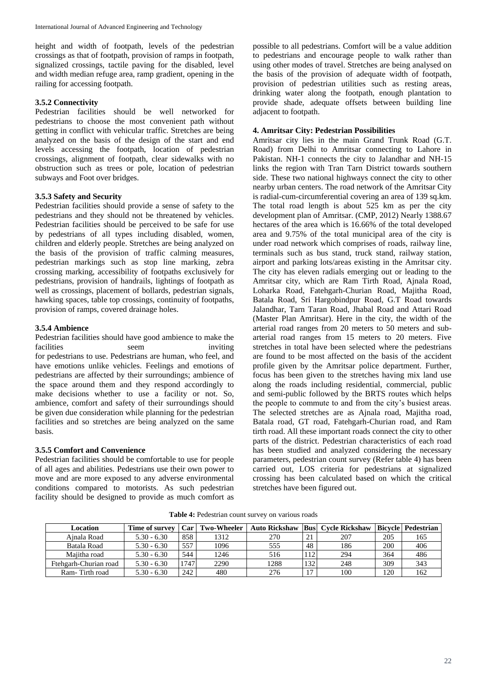height and width of footpath, levels of the pedestrian crossings as that of footpath, provision of ramps in footpath, signalized crossings, tactile paving for the disabled, level and width median refuge area, ramp gradient, opening in the railing for accessing footpath.

# **3.5.2 Connectivity**

Pedestrian facilities should be well networked for pedestrians to choose the most convenient path without getting in conflict with vehicular traffic. Stretches are being analyzed on the basis of the design of the start and end levels accessing the footpath, location of pedestrian crossings, alignment of footpath, clear sidewalks with no obstruction such as trees or pole, location of pedestrian subways and Foot over bridges.

# **3.5.3 Safety and Security**

Pedestrian facilities should provide a sense of safety to the pedestrians and they should not be threatened by vehicles. Pedestrian facilities should be perceived to be safe for use by pedestrians of all types including disabled, women, children and elderly people. Stretches are being analyzed on the basis of the provision of traffic calming measures, pedestrian markings such as stop line marking, zebra crossing marking, accessibility of footpaths exclusively for pedestrians, provision of handrails, lightings of footpath as well as crossings, placement of bollards, pedestrian signals, hawking spaces, table top crossings, continuity of footpaths, provision of ramps, covered drainage holes.

# **3.5.4 Ambience**

Pedestrian facilities should have good ambience to make the facilities seem inviting for pedestrians to use. Pedestrians are human, who feel, and have emotions unlike vehicles. Feelings and emotions of pedestrians are affected by their surroundings; ambience of the space around them and they respond accordingly to make decisions whether to use a facility or not. So, ambience, comfort and safety of their surroundings should be given due consideration while planning for the pedestrian facilities and so stretches are being analyzed on the same basis.

# **3.5.5 Comfort and Convenience**

Pedestrian facilities should be comfortable to use for people of all ages and abilities. Pedestrians use their own power to move and are more exposed to any adverse environmental conditions compared to motorists. As such pedestrian facility should be designed to provide as much comfort as possible to all pedestrians. Comfort will be a value addition to pedestrians and encourage people to walk rather than using other modes of travel. Stretches are being analysed on the basis of the provision of adequate width of footpath, provision of pedestrian utilities such as resting areas, drinking water along the footpath, enough plantation to provide shade, adequate offsets between building line adjacent to footpath.

# **4. Amritsar City: Pedestrian Possibilities**

Amritsar city lies in the main Grand Trunk Road (G.T. Road) from Delhi to Amritsar connecting to Lahore in Pakistan. NH-1 connects the city to Jalandhar and NH-15 links the region with Tran Tarn District towards southern side. These two national highways connect the city to other nearby urban centers. The road network of the Amritsar City is radial-cum-circumferential covering an area of 139 sq.km. The total road length is about 525 km as per the city development plan of Amritsar. (CMP, 2012) Nearly 1388.67 hectares of the area which is 16.66% of the total developed area and 9.75% of the total municipal area of the city is under road network which comprises of roads, railway line, terminals such as bus stand, truck stand, railway station, airport and parking lots/areas existing in the Amritsar city. The city has eleven radials emerging out or leading to the Amritsar city, which are Ram Tirth Road, Ajnala Road, Loharka Road, Fatehgarh-Churian Road, Majitha Road, Batala Road, Sri Hargobindpur Road, G.T Road towards Jalandhar, Tarn Taran Road, Jhabal Road and Attari Road (Master Plan Amritsar). Here in the city, the width of the arterial road ranges from 20 meters to 50 meters and subarterial road ranges from 15 meters to 20 meters. Five stretches in total have been selected where the pedestrians are found to be most affected on the basis of the accident profile given by the Amritsar police department. Further, focus has been given to the stretches having mix land use along the roads including residential, commercial, public and semi-public followed by the BRTS routes which helps the people to commute to and from the city's busiest areas. The selected stretches are as Ajnala road, Majitha road, Batala road, GT road, Fatehgarh-Churian road, and Ram tirth road. All these important roads connect the city to other parts of the district. Pedestrian characteristics of each road has been studied and analyzed considering the necessary parameters, pedestrian count survey (Refer table 4) has been carried out, LOS criteria for pedestrians at signalized crossing has been calculated based on which the critical stretches have been figured out.

| Location              | Time of survey | Car  | <b>Two-Wheeler</b> | Auto Rickshaw |      | <b>Bus</b> Cvcle Rickshaw |     | Bicvcle   Pedestrian |
|-----------------------|----------------|------|--------------------|---------------|------|---------------------------|-----|----------------------|
| Ainala Road           | $5.30 - 6.30$  | 858  | 1312               | 270           | 21   | 207                       | 205 | 165                  |
| Batala Road           | $5.30 - 6.30$  | 557  | 1096               | 555           | 48   | 186                       | 200 | 406                  |
| Maiitha road          | $5.30 - 6.30$  | 544  | 1246               | 516           | 112' | 294                       | 364 | 486                  |
| Ftehgarh-Churian road | $5.30 - 6.30$  | 1747 | 2290               | 1288          | 132  | 248                       | 309 | 343                  |
| Ram-Tirth road        | $5.30 - 6.30$  | 242  | 480                | 276           | 17   | 100                       | 120 | 162                  |

**Table 4:** Pedestrian count survey on various roads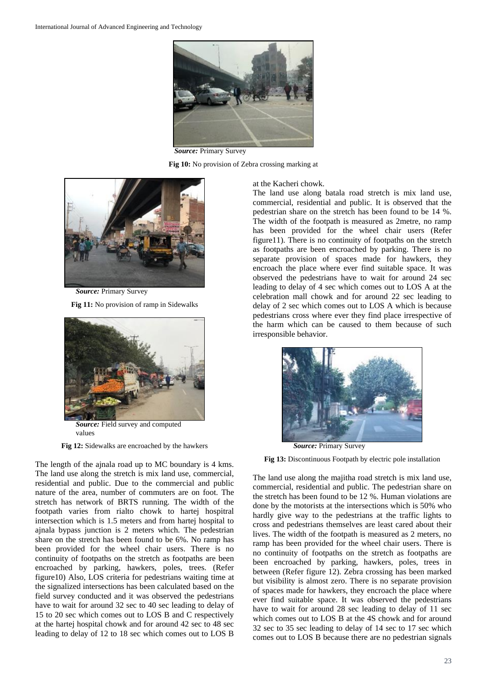

*Source:* Primary Survey

**Fig 10:** No provision of Zebra crossing marking at



*Source:* Primary Survey

**Fig 11:** No provision of ramp in Sidewalks



*Source:* Field survey and computed values

**Fig 12:** Sidewalks are encroached by the hawkers

The length of the ajnala road up to MC boundary is 4 kms. The land use along the stretch is mix land use, commercial, residential and public. Due to the commercial and public nature of the area, number of commuters are on foot. The stretch has network of BRTS running. The width of the footpath varies from rialto chowk to hartej hospitral intersection which is 1.5 meters and from hartej hospital to ajnala bypass junction is 2 meters which. The pedestrian share on the stretch has been found to be 6%. No ramp has been provided for the wheel chair users. There is no continuity of footpaths on the stretch as footpaths are been encroached by parking, hawkers, poles, trees. (Refer figure10) Also, LOS criteria for pedestrians waiting time at the signalized intersections has been calculated based on the field survey conducted and it was observed the pedestrians have to wait for around 32 sec to 40 sec leading to delay of 15 to 20 sec which comes out to LOS B and C respectively at the hartej hospital chowk and for around 42 sec to 48 sec leading to delay of 12 to 18 sec which comes out to LOS B

at the Kacheri chowk.

The land use along batala road stretch is mix land use, commercial, residential and public. It is observed that the pedestrian share on the stretch has been found to be 14 %. The width of the footpath is measured as 2metre, no ramp has been provided for the wheel chair users (Refer figure11). There is no continuity of footpaths on the stretch as footpaths are been encroached by parking. There is no separate provision of spaces made for hawkers, they encroach the place where ever find suitable space. It was observed the pedestrians have to wait for around 24 sec leading to delay of 4 sec which comes out to LOS A at the celebration mall chowk and for around 22 sec leading to delay of 2 sec which comes out to LOS A which is because pedestrians cross where ever they find place irrespective of the harm which can be caused to them because of such irresponsible behavior.



**Fig 13:** Discontinuous Footpath by electric pole installation

The land use along the majitha road stretch is mix land use, commercial, residential and public. The pedestrian share on the stretch has been found to be 12 %. Human violations are done by the motorists at the intersections which is 50% who hardly give way to the pedestrians at the traffic lights to cross and pedestrians themselves are least cared about their lives. The width of the footpath is measured as 2 meters, no ramp has been provided for the wheel chair users. There is no continuity of footpaths on the stretch as footpaths are been encroached by parking, hawkers, poles, trees in between (Refer figure 12). Zebra crossing has been marked but visibility is almost zero. There is no separate provision of spaces made for hawkers, they encroach the place where ever find suitable space. It was observed the pedestrians have to wait for around 28 sec leading to delay of 11 sec which comes out to LOS B at the 4S chowk and for around 32 sec to 35 sec leading to delay of 14 sec to 17 sec which comes out to LOS B because there are no pedestrian signals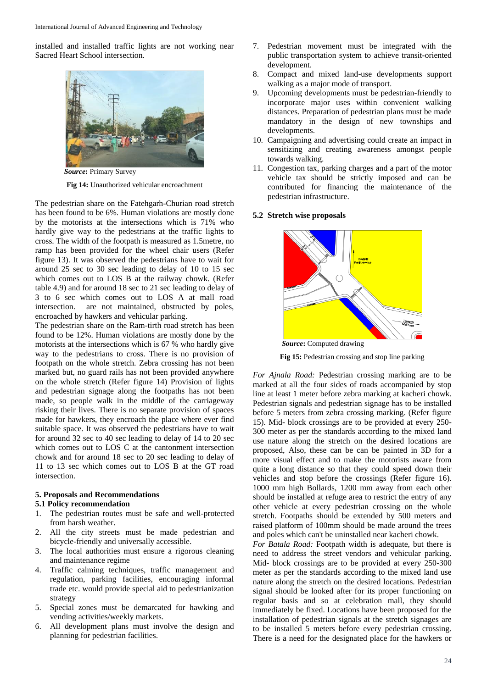installed and installed traffic lights are not working near Sacred Heart School intersection.



*Source***:** Primary Survey

**Fig 14:** Unauthorized vehicular encroachment

The pedestrian share on the Fatehgarh-Churian road stretch has been found to be 6%. Human violations are mostly done by the motorists at the intersections which is 71% who hardly give way to the pedestrians at the traffic lights to cross. The width of the footpath is measured as 1.5metre, no ramp has been provided for the wheel chair users (Refer figure 13). It was observed the pedestrians have to wait for around 25 sec to 30 sec leading to delay of 10 to 15 sec which comes out to LOS B at the railway chowk. (Refer table 4.9) and for around 18 sec to 21 sec leading to delay of 3 to 6 sec which comes out to LOS A at mall road intersection. are not maintained, obstructed by poles, encroached by hawkers and vehicular parking.

The pedestrian share on the Ram-tirth road stretch has been found to be 12%. Human violations are mostly done by the motorists at the intersections which is 67 % who hardly give way to the pedestrians to cross. There is no provision of footpath on the whole stretch. Zebra crossing has not been marked but, no guard rails has not been provided anywhere on the whole stretch (Refer figure 14) Provision of lights and pedestrian signage along the footpaths has not been made, so people walk in the middle of the carriageway risking their lives. There is no separate provision of spaces made for hawkers, they encroach the place where ever find suitable space. It was observed the pedestrians have to wait for around 32 sec to 40 sec leading to delay of 14 to 20 sec which comes out to LOS C at the cantonment intersection chowk and for around 18 sec to 20 sec leading to delay of 11 to 13 sec which comes out to LOS B at the GT road intersection.

# **5. Proposals and Recommendations**

## **5.1 Policy recommendation**

- 1. The pedestrian routes must be safe and well-protected from harsh weather.
- 2. All the city streets must be made pedestrian and bicycle-friendly and universally accessible.
- 3. The local authorities must ensure a rigorous cleaning and maintenance regime
- 4. Traffic calming techniques, traffic management and regulation, parking facilities, encouraging informal trade etc. would provide special aid to pedestrianization strategy
- 5. Special zones must be demarcated for hawking and vending activities/weekly markets.
- 6. All development plans must involve the design and planning for pedestrian facilities.
- 7. Pedestrian movement must be integrated with the public transportation system to achieve transit-oriented development.
- 8. Compact and mixed land-use developments support walking as a major mode of transport.
- 9. Upcoming developments must be pedestrian-friendly to incorporate major uses within convenient walking distances. Preparation of pedestrian plans must be made mandatory in the design of new townships and developments.
- 10. Campaigning and advertising could create an impact in sensitizing and creating awareness amongst people towards walking.
- 11. Congestion tax, parking charges and a part of the motor vehicle tax should be strictly imposed and can be contributed for financing the maintenance of the pedestrian infrastructure.

#### **5.2 Stretch wise proposals**



**Fig 15:** Pedestrian crossing and stop line parking

*For Ajnala Road:* Pedestrian crossing marking are to be marked at all the four sides of roads accompanied by stop line at least 1 meter before zebra marking at kacheri chowk. Pedestrian signals and pedestrian signage has to be installed before 5 meters from zebra crossing marking. (Refer figure 15). Mid- block crossings are to be provided at every 250- 300 meter as per the standards according to the mixed land use nature along the stretch on the desired locations are proposed, Also, these can be can be painted in 3D for a more visual effect and to make the motorists aware from quite a long distance so that they could speed down their vehicles and stop before the crossings (Refer figure 16). 1000 mm high Bollards, 1200 mm away from each other should be installed at refuge area to restrict the entry of any other vehicle at every pedestrian crossing on the whole stretch. Footpaths should be extended by 500 meters and raised platform of 100mm should be made around the trees and poles which can't be uninstalled near kacheri chowk.

*For Batala Road:* Footpath width is adequate, but there is need to address the street vendors and vehicular parking. Mid- block crossings are to be provided at every 250-300 meter as per the standards according to the mixed land use nature along the stretch on the desired locations. Pedestrian signal should be looked after for its proper functioning on regular basis and so at celebration mall, they should immediately be fixed. Locations have been proposed for the installation of pedestrian signals at the stretch signages are to be installed 5 meters before every pedestrian crossing. There is a need for the designated place for the hawkers or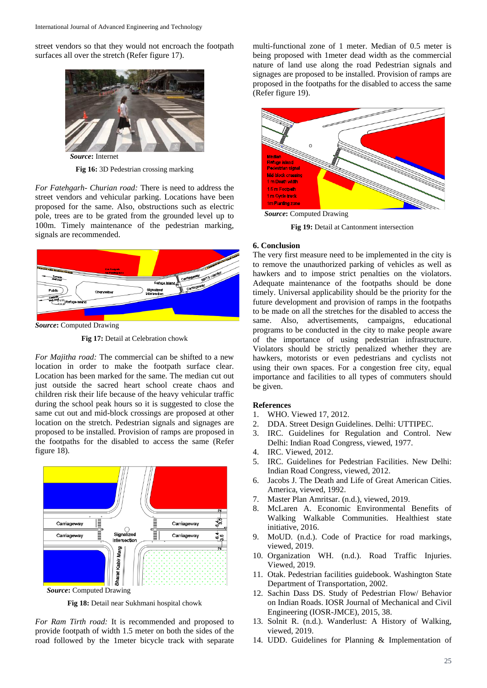street vendors so that they would not encroach the footpath surfaces all over the stretch (Refer figure 17).



*Source***:** Internet

**Fig 16:** 3D Pedestrian crossing marking

*For Fatehgarh- Churian road:* There is need to address the street vendors and vehicular parking. Locations have been proposed for the same. Also, obstructions such as electric pole, trees are to be grated from the grounded level up to 100m. Timely maintenance of the pedestrian marking, signals are recommended.



*Source***:** Computed Drawing

**Fig 17:** Detail at Celebration chowk

*For Majitha road:* The commercial can be shifted to a new location in order to make the footpath surface clear. Location has been marked for the same. The median cut out just outside the sacred heart school create chaos and children risk their life because of the heavy vehicular traffic during the school peak hours so it is suggested to close the same cut out and mid-block crossings are proposed at other location on the stretch. Pedestrian signals and signages are proposed to be installed. Provision of ramps are proposed in the footpaths for the disabled to access the same (Refer figure 18).



**Fig 18:** Detail near Sukhmani hospital chowk

*For Ram Tirth road:* It is recommended and proposed to provide footpath of width 1.5 meter on both the sides of the road followed by the 1meter bicycle track with separate

multi-functional zone of 1 meter. Median of 0.5 meter is being proposed with 1meter dead width as the commercial nature of land use along the road Pedestrian signals and signages are proposed to be installed. Provision of ramps are proposed in the footpaths for the disabled to access the same (Refer figure 19).



**Fig 19:** Detail at Cantonment intersection

#### **6. Conclusion**

The very first measure need to be implemented in the city is to remove the unauthorized parking of vehicles as well as hawkers and to impose strict penalties on the violators. Adequate maintenance of the footpaths should be done timely. Universal applicability should be the priority for the future development and provision of ramps in the footpaths to be made on all the stretches for the disabled to access the same. Also, advertisements, campaigns, educational programs to be conducted in the city to make people aware of the importance of using pedestrian infrastructure. Violators should be strictly penalized whether they are hawkers, motorists or even pedestrians and cyclists not using their own spaces. For a congestion free city, equal importance and facilities to all types of commuters should be given.

# **References**

- 1. WHO. Viewed 17, 2012.
- 2. DDA. Street Design Guidelines. Delhi: UTTIPEC.
- 3. IRC. Guidelines for Regulation and Control. New Delhi: Indian Road Congress, viewed, 1977.
- 4. IRC. Viewed, 2012.
- 5. IRC. Guidelines for Pedestrian Facilities. New Delhi: Indian Road Congress, viewed, 2012.
- 6. Jacobs J. The Death and Life of Great American Cities. America, viewed, 1992.
- 7. Master Plan Amritsar. (n.d.), viewed, 2019.
- 8. McLaren A. Economic Environmental Benefits of Walking Walkable Communities. Healthiest state initiative, 2016.
- 9. MoUD. (n.d.). Code of Practice for road markings, viewed, 2019.
- 10. Organization WH. (n.d.). Road Traffic Injuries. Viewed, 2019.
- 11. Otak. Pedestrian facilities guidebook. Washington State Department of Transportation, 2002.
- 12. Sachin Dass DS. Study of Pedestrian Flow/ Behavior on Indian Roads. IOSR Journal of Mechanical and Civil Engineering (IOSR-JMCE), 2015, 38.
- 13. Solnit R. (n.d.). Wanderlust: A History of Walking, viewed, 2019.
- 14. UDD. Guidelines for Planning & Implementation of